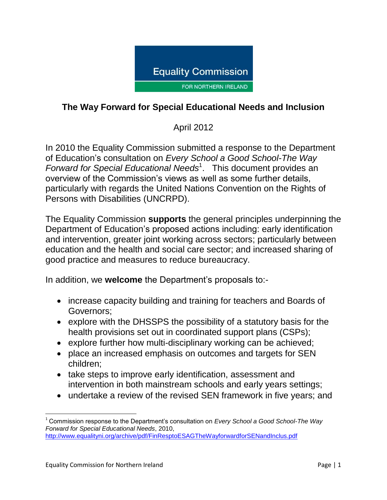

## **The Way Forward for Special Educational Needs and Inclusion**

# April 2012

In 2010 the Equality Commission submitted a response to the Department of Education's consultation on *Every School a Good School-The Way*  Forward for Special Educational Needs<sup>1</sup>. This document provides an overview of the Commission's views as well as some further details, particularly with regards the United Nations Convention on the Rights of Persons with Disabilities (UNCRPD).

The Equality Commission **supports** the general principles underpinning the Department of Education's proposed actions including: early identification and intervention, greater joint working across sectors; particularly between education and the health and social care sector; and increased sharing of good practice and measures to reduce bureaucracy.

In addition, we **welcome** the Department's proposals to:-

- increase capacity building and training for teachers and Boards of Governors;
- explore with the DHSSPS the possibility of a statutory basis for the health provisions set out in coordinated support plans (CSPs);
- explore further how multi-disciplinary working can be achieved;
- place an increased emphasis on outcomes and targets for SEN children;
- take steps to improve early identification, assessment and intervention in both mainstream schools and early years settings;
- undertake a review of the revised SEN framework in five years; and

 $\overline{a}$ 

<sup>1</sup> Commission response to the Department's consultation on *Every School a Good School-The Way Forward for Special Educational Needs*, 2010, <http://www.equalityni.org/archive/pdf/FinResptoESAGTheWayforwardforSENandInclus.pdf>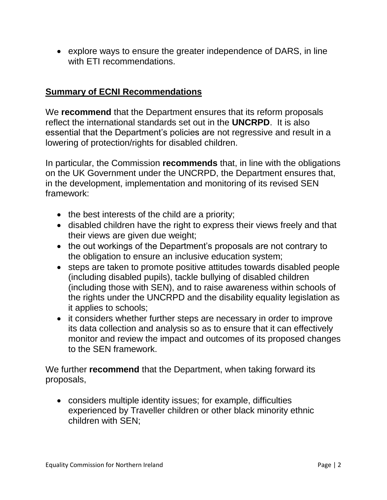explore ways to ensure the greater independence of DARS, in line with ETI recommendations.

### **Summary of ECNI Recommendations**

We **recommend** that the Department ensures that its reform proposals reflect the international standards set out in the **UNCRPD**. It is also essential that the Department's policies are not regressive and result in a lowering of protection/rights for disabled children.

In particular, the Commission **recommends** that, in line with the obligations on the UK Government under the UNCRPD, the Department ensures that, in the development, implementation and monitoring of its revised SEN framework:

- $\bullet$  the best interests of the child are a priority;
- disabled children have the right to express their views freely and that their views are given due weight;
- the out workings of the Department's proposals are not contrary to the obligation to ensure an inclusive education system;
- steps are taken to promote positive attitudes towards disabled people (including disabled pupils), tackle bullying of disabled children (including those with SEN), and to raise awareness within schools of the rights under the UNCRPD and the disability equality legislation as it applies to schools;
- it considers whether further steps are necessary in order to improve its data collection and analysis so as to ensure that it can effectively monitor and review the impact and outcomes of its proposed changes to the SEN framework.

We further **recommend** that the Department, when taking forward its proposals,

 considers multiple identity issues; for example, difficulties experienced by Traveller children or other black minority ethnic children with SEN;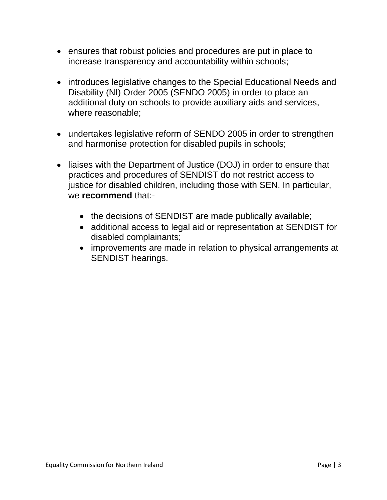- ensures that robust policies and procedures are put in place to increase transparency and accountability within schools;
- introduces legislative changes to the Special Educational Needs and Disability (NI) Order 2005 (SENDO 2005) in order to place an additional duty on schools to provide auxiliary aids and services, where reasonable;
- undertakes legislative reform of SENDO 2005 in order to strengthen and harmonise protection for disabled pupils in schools;
- liaises with the Department of Justice (DOJ) in order to ensure that practices and procedures of SENDIST do not restrict access to justice for disabled children, including those with SEN. In particular, we **recommend** that:-
	- the decisions of SENDIST are made publically available;
	- additional access to legal aid or representation at SENDIST for disabled complainants;
	- improvements are made in relation to physical arrangements at SENDIST hearings.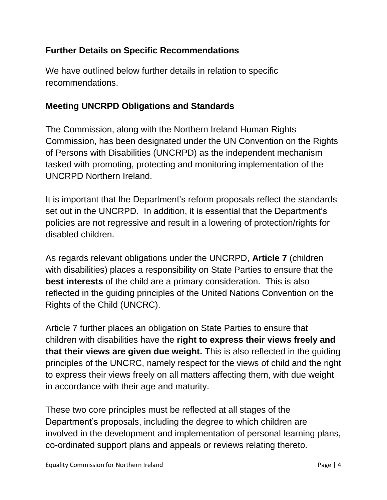### **Further Details on Specific Recommendations**

We have outlined below further details in relation to specific recommendations.

## **Meeting UNCRPD Obligations and Standards**

The Commission, along with the Northern Ireland Human Rights Commission, has been designated under the UN Convention on the Rights of Persons with Disabilities (UNCRPD) as the independent mechanism tasked with promoting, protecting and monitoring implementation of the UNCRPD Northern Ireland.

It is important that the Department's reform proposals reflect the standards set out in the UNCRPD. In addition, it is essential that the Department's policies are not regressive and result in a lowering of protection/rights for disabled children.

As regards relevant obligations under the UNCRPD, **Article 7** (children with disabilities) places a responsibility on State Parties to ensure that the **best interests** of the child are a primary consideration. This is also reflected in the guiding principles of the United Nations Convention on the Rights of the Child (UNCRC).

Article 7 further places an obligation on State Parties to ensure that children with disabilities have the **right to express their views freely and that their views are given due weight.** This is also reflected in the guiding principles of the UNCRC, namely respect for the views of child and the right to express their views freely on all matters affecting them, with due weight in accordance with their age and maturity.

These two core principles must be reflected at all stages of the Department's proposals, including the degree to which children are involved in the development and implementation of personal learning plans, co-ordinated support plans and appeals or reviews relating thereto.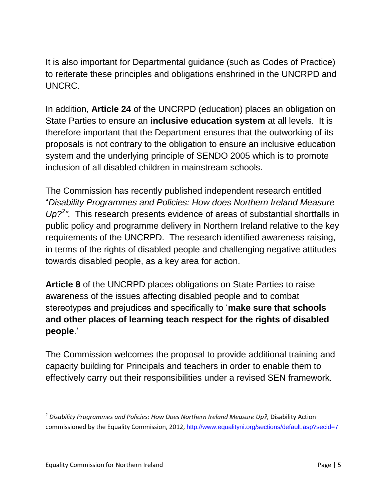It is also important for Departmental guidance (such as Codes of Practice) to reiterate these principles and obligations enshrined in the UNCRPD and UNCRC.

In addition, **Article 24** of the UNCRPD (education) places an obligation on State Parties to ensure an **inclusive education system** at all levels. It is therefore important that the Department ensures that the outworking of its proposals is not contrary to the obligation to ensure an inclusive education system and the underlying principle of SENDO 2005 which is to promote inclusion of all disabled children in mainstream schools.

The Commission has recently published independent research entitled "*Disability Programmes and Policies: How does Northern Ireland Measure*  Up?<sup>2</sup>". This research presents evidence of areas of substantial shortfalls in public policy and programme delivery in Northern Ireland relative to the key requirements of the UNCRPD. The research identified awareness raising, in terms of the rights of disabled people and challenging negative attitudes towards disabled people, as a key area for action.

**Article 8** of the UNCRPD places obligations on State Parties to raise awareness of the issues affecting disabled people and to combat stereotypes and prejudices and specifically to '**make sure that schools and other places of learning teach respect for the rights of disabled people**.'

The Commission welcomes the proposal to provide additional training and capacity building for Principals and teachers in order to enable them to effectively carry out their responsibilities under a revised SEN framework.

l

<sup>2</sup> *Disability Programmes and Policies: How Does Northern Ireland Measure Up?,* Disability Action commissioned by the Equality Commission, 2012, <http://www.equalityni.org/sections/default.asp?secid=7>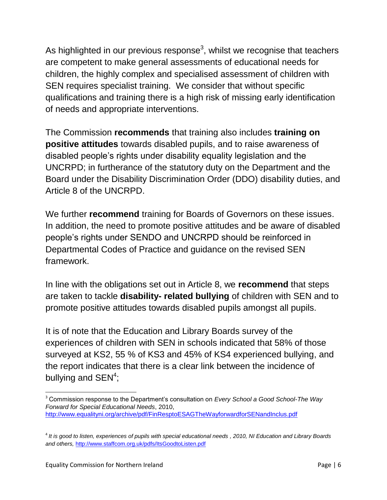As highlighted in our previous response<sup>3</sup>, whilst we recognise that teachers are competent to make general assessments of educational needs for children, the highly complex and specialised assessment of children with SEN requires specialist training. We consider that without specific qualifications and training there is a high risk of missing early identification of needs and appropriate interventions.

The Commission **recommends** that training also includes **training on positive attitudes** towards disabled pupils, and to raise awareness of disabled people's rights under disability equality legislation and the UNCRPD; in furtherance of the statutory duty on the Department and the Board under the Disability Discrimination Order (DDO) disability duties, and Article 8 of the UNCRPD.

We further **recommend** training for Boards of Governors on these issues. In addition, the need to promote positive attitudes and be aware of disabled people's rights under SENDO and UNCRPD should be reinforced in Departmental Codes of Practice and guidance on the revised SEN framework.

In line with the obligations set out in Article 8, we **recommend** that steps are taken to tackle **disability- related bullying** of children with SEN and to promote positive attitudes towards disabled pupils amongst all pupils.

It is of note that the Education and Library Boards survey of the experiences of children with SEN in schools indicated that 58% of those surveyed at KS2, 55 % of KS3 and 45% of KS4 experienced bullying, and the report indicates that there is a clear link between the incidence of bullying and  $\text{SEN}^4$ ;

l <sup>3</sup> Commission response to the Department's consultation on *Every School a Good School-The Way Forward for Special Educational Needs*, 2010, <http://www.equalityni.org/archive/pdf/FinResptoESAGTheWayforwardforSENandInclus.pdf>

<sup>4</sup> *It is good to listen, experiences of pupils with special educational needs , 2010, NI Education and Library Boards and others,* <http://www.staffcom.org.uk/pdfs/ItsGoodtoListen.pdf>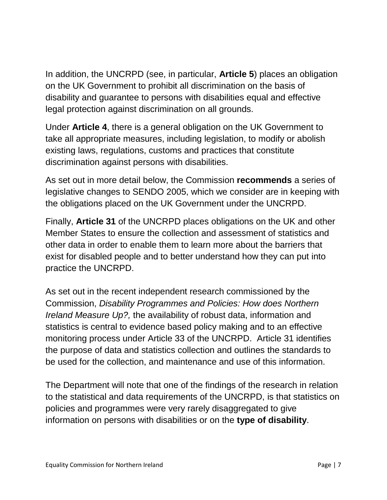In addition, the UNCRPD (see, in particular, **Article 5**) places an obligation on the UK Government to prohibit all discrimination on the basis of disability and guarantee to persons with disabilities equal and effective legal protection against discrimination on all grounds.

Under **Article 4**, there is a general obligation on the UK Government to take all appropriate measures, including legislation, to modify or abolish existing laws, regulations, customs and practices that constitute discrimination against persons with disabilities.

As set out in more detail below, the Commission **recommends** a series of legislative changes to SENDO 2005, which we consider are in keeping with the obligations placed on the UK Government under the UNCRPD.

Finally, **Article 31** of the UNCRPD places obligations on the UK and other Member States to ensure the collection and assessment of statistics and other data in order to enable them to learn more about the barriers that exist for disabled people and to better understand how they can put into practice the UNCRPD.

As set out in the recent independent research commissioned by the Commission, *Disability Programmes and Policies: How does Northern Ireland Measure Up?,* the availability of robust data, information and statistics is central to evidence based policy making and to an effective monitoring process under Article 33 of the UNCRPD. Article 31 identifies the purpose of data and statistics collection and outlines the standards to be used for the collection, and maintenance and use of this information.

The Department will note that one of the findings of the research in relation to the statistical and data requirements of the UNCRPD, is that statistics on policies and programmes were very rarely disaggregated to give information on persons with disabilities or on the **type of disability**.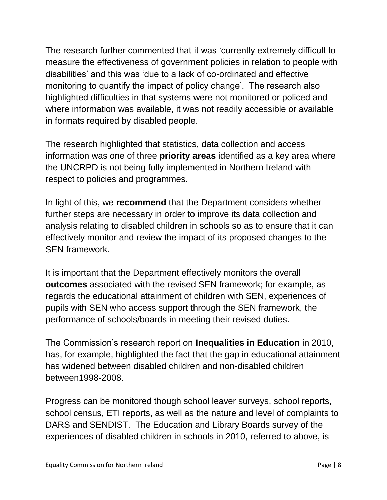The research further commented that it was 'currently extremely difficult to measure the effectiveness of government policies in relation to people with disabilities' and this was 'due to a lack of co-ordinated and effective monitoring to quantify the impact of policy change'. The research also highlighted difficulties in that systems were not monitored or policed and where information was available, it was not readily accessible or available in formats required by disabled people.

The research highlighted that statistics, data collection and access information was one of three **priority areas** identified as a key area where the UNCRPD is not being fully implemented in Northern Ireland with respect to policies and programmes.

In light of this, we **recommend** that the Department considers whether further steps are necessary in order to improve its data collection and analysis relating to disabled children in schools so as to ensure that it can effectively monitor and review the impact of its proposed changes to the SEN framework.

It is important that the Department effectively monitors the overall **outcomes** associated with the revised SEN framework; for example, as regards the educational attainment of children with SEN, experiences of pupils with SEN who access support through the SEN framework, the performance of schools/boards in meeting their revised duties.

The Commission's research report on **Inequalities in Education** in 2010, has, for example, highlighted the fact that the gap in educational attainment has widened between disabled children and non-disabled children between1998-2008.

Progress can be monitored though school leaver surveys, school reports, school census, ETI reports, as well as the nature and level of complaints to DARS and SENDIST. The Education and Library Boards survey of the experiences of disabled children in schools in 2010, referred to above, is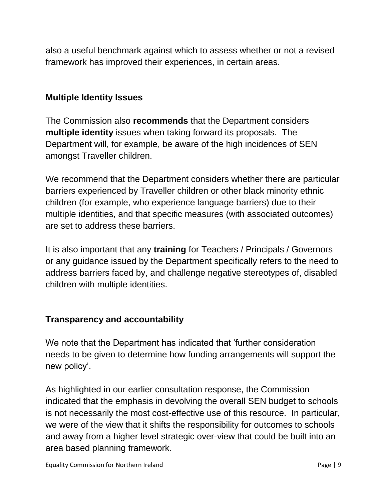also a useful benchmark against which to assess whether or not a revised framework has improved their experiences, in certain areas.

#### **Multiple Identity Issues**

The Commission also **recommends** that the Department considers **multiple identity** issues when taking forward its proposals. The Department will, for example, be aware of the high incidences of SEN amongst Traveller children.

We recommend that the Department considers whether there are particular barriers experienced by Traveller children or other black minority ethnic children (for example, who experience language barriers) due to their multiple identities, and that specific measures (with associated outcomes) are set to address these barriers.

It is also important that any **training** for Teachers / Principals / Governors or any guidance issued by the Department specifically refers to the need to address barriers faced by, and challenge negative stereotypes of, disabled children with multiple identities.

### **Transparency and accountability**

We note that the Department has indicated that 'further consideration needs to be given to determine how funding arrangements will support the new policy'.

As highlighted in our earlier consultation response, the Commission indicated that the emphasis in devolving the overall SEN budget to schools is not necessarily the most cost-effective use of this resource. In particular, we were of the view that it shifts the responsibility for outcomes to schools and away from a higher level strategic over-view that could be built into an area based planning framework.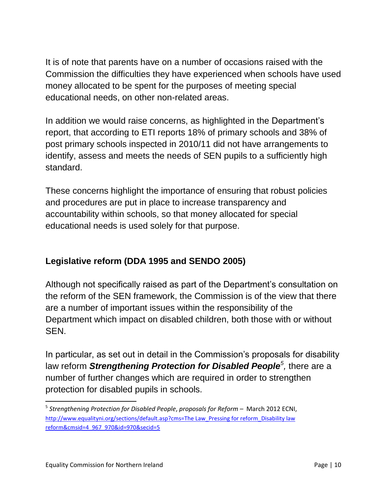It is of note that parents have on a number of occasions raised with the Commission the difficulties they have experienced when schools have used money allocated to be spent for the purposes of meeting special educational needs, on other non-related areas.

In addition we would raise concerns, as highlighted in the Department's report, that according to ETI reports 18% of primary schools and 38% of post primary schools inspected in 2010/11 did not have arrangements to identify, assess and meets the needs of SEN pupils to a sufficiently high standard.

These concerns highlight the importance of ensuring that robust policies and procedures are put in place to increase transparency and accountability within schools, so that money allocated for special educational needs is used solely for that purpose.

# **Legislative reform (DDA 1995 and SENDO 2005)**

Although not specifically raised as part of the Department's consultation on the reform of the SEN framework, the Commission is of the view that there are a number of important issues within the responsibility of the Department which impact on disabled children, both those with or without **SEN.** 

In particular, as set out in detail in the Commission's proposals for disability law reform *Strengthening Protection for Disabled People<sup>5</sup>, there are a* number of further changes which are required in order to strengthen protection for disabled pupils in schools.

 $\overline{\phantom{a}}$ 

<sup>&</sup>lt;sup>5</sup> Strengthening Protection for Disabled People, proposals for Reform - March 2012 ECNI, [http://www.equalityni.org/sections/default.asp?cms=The Law\\_Pressing for reform\\_Disability law](http://www.equalityni.org/sections/default.asp?cms=The%20Law_Pressing%20for%20reform_Disability%20law%20reform&cmsid=4_967_970&id=970&secid=5)  [reform&cmsid=4\\_967\\_970&id=970&secid=5](http://www.equalityni.org/sections/default.asp?cms=The%20Law_Pressing%20for%20reform_Disability%20law%20reform&cmsid=4_967_970&id=970&secid=5)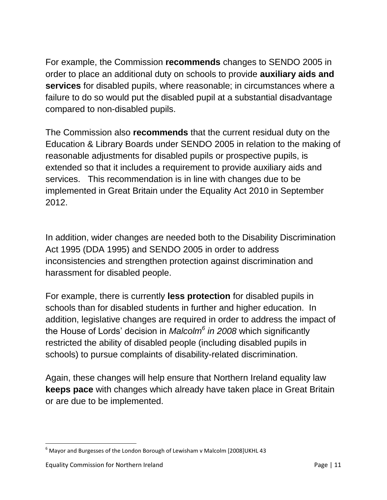For example, the Commission **recommends** changes to SENDO 2005 in order to place an additional duty on schools to provide **auxiliary aids and services** for disabled pupils, where reasonable; in circumstances where a failure to do so would put the disabled pupil at a substantial disadvantage compared to non-disabled pupils.

The Commission also **recommends** that the current residual duty on the Education & Library Boards under SENDO 2005 in relation to the making of reasonable adjustments for disabled pupils or prospective pupils, is extended so that it includes a requirement to provide auxiliary aids and services. This recommendation is in line with changes due to be implemented in Great Britain under the Equality Act 2010 in September 2012.

In addition, wider changes are needed both to the Disability Discrimination Act 1995 (DDA 1995) and SENDO 2005 in order to address inconsistencies and strengthen protection against discrimination and harassment for disabled people.

For example, there is currently **less protection** for disabled pupils in schools than for disabled students in further and higher education. In addition, legislative changes are required in order to address the impact of the House of Lords' decision in *Malcolm<sup>6</sup> in 2008* which significantly restricted the ability of disabled people (including disabled pupils in schools) to pursue complaints of disability-related discrimination.

Again, these changes will help ensure that Northern Ireland equality law **keeps pace** with changes which already have taken place in Great Britain or are due to be implemented.

 $\overline{\phantom{a}}$  $6$  Mayor and Burgesses of the London Borough of Lewisham v Malcolm [2008]UKHL 43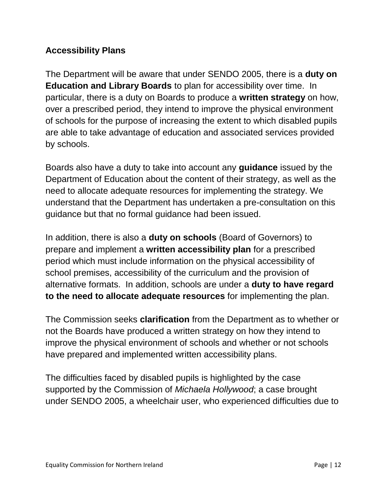### **Accessibility Plans**

The Department will be aware that under SENDO 2005, there is a **duty on Education and Library Boards** to plan for accessibility over time. In particular, there is a duty on Boards to produce a **written strategy** on how, over a prescribed period, they intend to improve the physical environment of schools for the purpose of increasing the extent to which disabled pupils are able to take advantage of education and associated services provided by schools.

Boards also have a duty to take into account any **guidance** issued by the Department of Education about the content of their strategy, as well as the need to allocate adequate resources for implementing the strategy. We understand that the Department has undertaken a pre-consultation on this guidance but that no formal guidance had been issued.

In addition, there is also a **duty on schools** (Board of Governors) to prepare and implement a **written accessibility plan** for a prescribed period which must include information on the physical accessibility of school premises, accessibility of the curriculum and the provision of alternative formats. In addition, schools are under a **duty to have regard to the need to allocate adequate resources** for implementing the plan.

The Commission seeks **clarification** from the Department as to whether or not the Boards have produced a written strategy on how they intend to improve the physical environment of schools and whether or not schools have prepared and implemented written accessibility plans.

The difficulties faced by disabled pupils is highlighted by the case supported by the Commission of *Michaela Hollywood*; a case brought under SENDO 2005, a wheelchair user, who experienced difficulties due to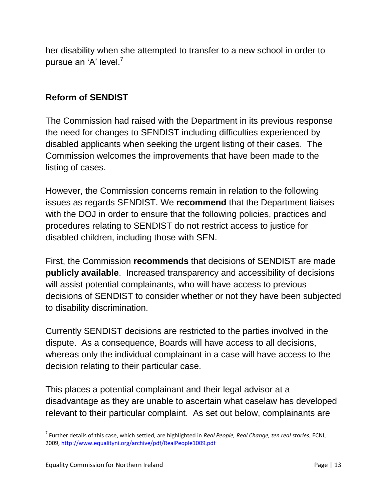her disability when she attempted to transfer to a new school in order to pursue an 'A' level.<sup>7</sup>

### **Reform of SENDIST**

The Commission had raised with the Department in its previous response the need for changes to SENDIST including difficulties experienced by disabled applicants when seeking the urgent listing of their cases. The Commission welcomes the improvements that have been made to the listing of cases.

However, the Commission concerns remain in relation to the following issues as regards SENDIST. We **recommend** that the Department liaises with the DOJ in order to ensure that the following policies, practices and procedures relating to SENDIST do not restrict access to justice for disabled children, including those with SEN.

First, the Commission **recommends** that decisions of SENDIST are made **publicly available**. Increased transparency and accessibility of decisions will assist potential complainants, who will have access to previous decisions of SENDIST to consider whether or not they have been subjected to disability discrimination.

Currently SENDIST decisions are restricted to the parties involved in the dispute. As a consequence, Boards will have access to all decisions, whereas only the individual complainant in a case will have access to the decision relating to their particular case.

This places a potential complainant and their legal advisor at a disadvantage as they are unable to ascertain what caselaw has developed relevant to their particular complaint. As set out below, complainants are

 $\overline{\phantom{a}}$ 

<sup>7</sup> Further details of this case, which settled, are highlighted in *Real People, Real Change, ten real stories*, ECNI, 2009, <http://www.equalityni.org/archive/pdf/RealPeople1009.pdf>